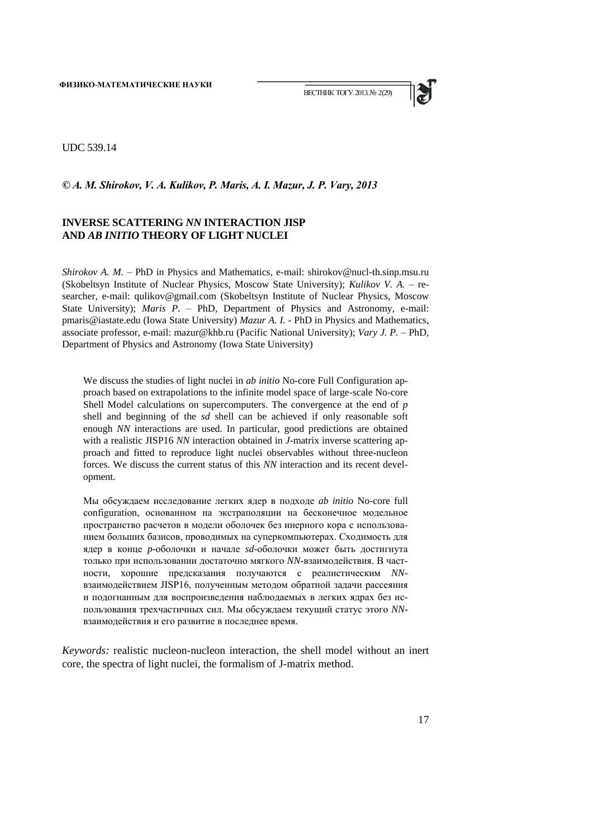

UDC 539.14

#### *© A. M. Shirokov, V. A. Kulikov, P. Maris, A. I. Mazur, J. P. Vary, 2013*

# **INVERSE SCATTERING** *NN* **INTERACTION JISP AND** *AB INITIO* **THEORY OF LIGHT NUCLEI**

*Shirokov A. M. – PhD in Physics and Mathematics, e-mail: shirokov@nucl-th.sinp.msu.ru* (Skobeltsyn Institute of Nuclear Physics, Moscow State University); *Kulikov V. A. –* researcher*,* e-mail: qulikov@gmail.com (Skobeltsyn Institute of Nuclear Physics, Moscow State University); *Maris P. –* PhD, Department of Physics and Astronomy, e-mail: pmaris@iastate.edu (Iowa State University) *Mazur A. I. -* PhD in Physics and Mathematics, associate professor, e-mail: mazur@khb.ru (Pacific National University); *Vary J. P. –* PhD, Department of Physics and Astronomy (Iowa State University)

We discuss the studies of light nuclei in *ab initio* No-core Full Configuration approach based on extrapolations to the infinite model space of large-scale No-core Shell Model calculations on supercomputers. The convergence at the end of *p* shell and beginning of the *sd* shell can be achieved if only reasonable soft enough *NN* interactions are used. In particular, good predictions are obtained with a realistic JISP16 *NN* interaction obtained in *J*-matrix inverse scattering approach and fitted to reproduce light nuclei observables without three-nucleon forces. We discuss the current status of this *NN* interaction and its recent development.

Мы обсуждаем исследование легких ядер в подходе *ab initio* No-core full configuration, основанном на экстраполяции на бесконечное модельное пространство расчетов в модели оболочек без инерного кора с использованием больших базисов, проводимых на суперкомпьютерах. Сходимость для ядер в конце *p-*оболочки и начале *sd*-оболочки может быть достигнута только при использовании достаточно мягкого *NN*-взаимодействия. В частности, хорошие предсказания получаются с реалистическим *NN*взаимодействием JISP16, полученным методом обратной задачи рассеяния и подогнанным для воспроизведения наблюдаемых в легких ядрах без использования трехчастичных сил. Мы обсуждаем текущий статус этого *NN*взаимодействия и его развитие в последнее время.

*Keywords:* realistic nucleon-nucleon interaction, the shell model without an inert core, the spectra of light nuclei, the formalism of J-matrix method.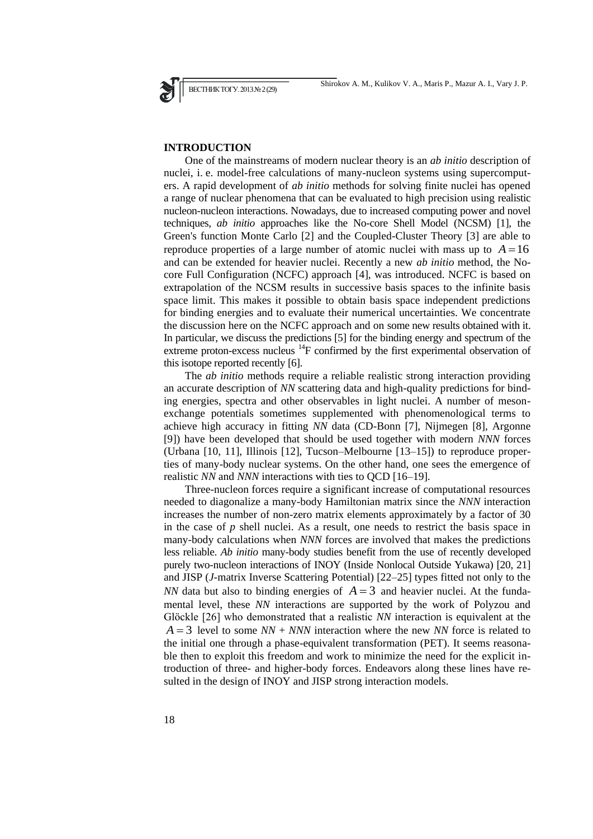Shirokov A. M., Kulikov V. A., Maris P., Mazur A. I., Vary J. P.

## **INTRODUCTION**

ВЕСТНИК ТОГУ. 2013№ 2(29)

One of the mainstreams of modern nuclear theory is an *ab initio* description of nuclei, i. e. model-free calculations of many-nucleon systems using supercomputers. A rapid development of *ab initio* methods for solving finite nuclei has opened a range of nuclear phenomena that can be evaluated to high precision using realistic nucleon-nucleon interactions. Nowadays, due to increased computing power and novel techniques, *ab initio* approaches like the No-core Shell Model (NCSM) [1], the Green's function Monte Carlo [2] and the Coupled-Cluster Theory [3] are able to reproduce properties of a large number of atomic nuclei with mass up to  $A = 16$ and can be extended for heavier nuclei. Recently a new *ab initio* method, the Nocore Full Configuration (NCFC) approach [4], was introduced. NCFC is based on extrapolation of the NCSM results in successive basis spaces to the infinite basis space limit. This makes it possible to obtain basis space independent predictions for binding energies and to evaluate their numerical uncertainties. We concentrate the discussion here on the NCFC approach and on some new results obtained with it. In particular, we discuss the predictions [5] for the binding energy and spectrum of the extreme proton-excess nucleus  $^{14}$ F confirmed by the first experimental observation of this isotope reported recently [6].

The *ab initio* methods require a reliable realistic strong interaction providing an accurate description of *NN* scattering data and high-quality predictions for binding energies, spectra and other observables in light nuclei. A number of mesonexchange potentials sometimes supplemented with phenomenological terms to achieve high accuracy in fitting *NN* data (CD-Bonn [7], Nijmegen [8], Argonne [9]) have been developed that should be used together with modern *NNN* forces (Urbana [10, 11], Illinois [12], Tucson–Melbourne [13–15]) to reproduce properties of many-body nuclear systems. On the other hand, one sees the emergence of realistic *NN* and *NNN* interactions with ties to QCD [16–19].

Three-nucleon forces require a significant increase of computational resources needed to diagonalize a many-body Hamiltonian matrix since the *NNN* interaction increases the number of non-zero matrix elements approximately by a factor of 30 in the case of *p* shell nuclei. As a result, one needs to restrict the basis space in many-body calculations when *NNN* forces are involved that makes the predictions less reliable. *Ab initio* many-body studies benefit from the use of recently developed purely two-nucleon interactions of INOY (Inside Nonlocal Outside Yukawa) [20, 21] and JISP (*J*-matrix Inverse Scattering Potential) [22–25] types fitted not only to the *NN* data but also to binding energies of  $A = 3$  and heavier nuclei. At the fundamental level, these *NN* interactions are supported by the work of Polyzou and Glöckle [26] who demonstrated that a realistic *NN* interaction is equivalent at the  $A = 3$  level to some  $NN + NNN$  interaction where the new *NN* force is related to the initial one through a phase-equivalent transformation (PET). It seems reasonable then to exploit this freedom and work to minimize the need for the explicit introduction of three- and higher-body forces. Endeavors along these lines have resulted in the design of INOY and JISP strong interaction models.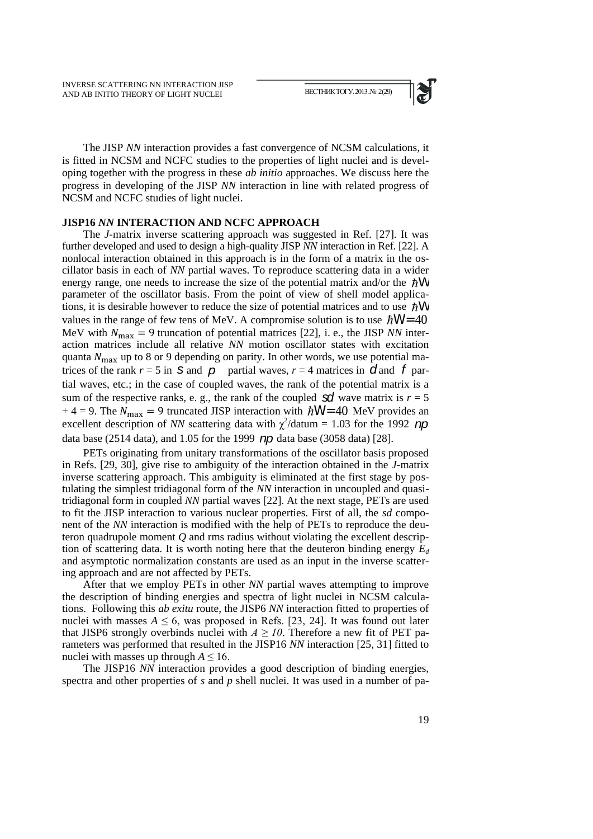

The JISP *NN* interaction provides a fast convergence of NCSM calculations, it is fitted in NCSM and NCFC studies to the properties of light nuclei and is developing together with the progress in these *ab initio* approaches. We discuss here the progress in developing of the JISP *NN* interaction in line with related progress of NCSM and NCFC studies of light nuclei.

### **JISP16** *NN* **INTERACTION AND NCFC APPROACH**

The *J*-matrix inverse scattering approach was suggested in Ref. [27]. It was further developed and used to design a high-quality JISP *NN* interaction in Ref. [22]. A nonlocal interaction obtained in this approach is in the form of a matrix in the oscillator basis in each of *NN* partial waves. To reproduce scattering data in a wider energy range, one needs to increase the size of the potential matrix and/or the  $\hbar$ W parameter of the oscillator basis. From the point of view of shell model applications, it is desirable however to reduce the size of potential matrices and to use  $\hbar$ W values in the range of few tens of MeV. A compromise solution is to use  $\hbar$ W = 40 MeV with  $N_{\text{max}} = 9$  truncation of potential matrices [22], i. e., the JISP *NN* interaction matrices include all relative *NN* motion oscillator states with excitation quanta  $N_{\text{max}}$  up to 8 or 9 depending on parity. In other words, we use potential matrices of the rank  $r = 5$  in S and  $p$  partial waves,  $r = 4$  matrices in  $d$  and  $f$  partial waves, etc.; in the case of coupled waves, the rank of the potential matrix is a sum of the respective ranks, e. g., the rank of the coupled  $\mathbf{S}$  wave matrix is  $r = 5$ + 4 = 9. The  $N_{\text{max}} = 9$  truncated JISP interaction with  $\hbar$ W = 40 MeV provides an excellent description of *NN* scattering data with  $\chi^2$ /datum = 1.03 for the 1992 *np* data base (2514 data), and 1.05 for the 1999 *np* data base (3058 data) [28].

PETs originating from unitary transformations of the oscillator basis proposed in Refs. [29, 30], give rise to ambiguity of the interaction obtained in the *J*-matrix inverse scattering approach. This ambiguity is eliminated at the first stage by postulating the simplest tridiagonal form of the *NN* interaction in uncoupled and quasitridiagonal form in coupled *NN* partial waves [22]. At the next stage, PETs are used to fit the JISP interaction to various nuclear properties. First of all, the *sd* component of the *NN* interaction is modified with the help of PETs to reproduce the deuteron quadrupole moment *Q* and rms radius without violating the excellent description of scattering data. It is worth noting here that the deuteron binding energy *E<sup>d</sup>* and asymptotic normalization constants are used as an input in the inverse scattering approach and are not affected by PETs.

After that we employ PETs in other *NN* partial waves attempting to improve the description of binding energies and spectra of light nuclei in NCSM calculations. Following this *ab exitu* route, the JISP6 *NN* interaction fitted to properties of nuclei with masses  $A \le 6$ , was proposed in Refs. [23, 24]. It was found out later that JISP6 strongly overbinds nuclei with  $A \geq 10$ . Therefore a new fit of PET parameters was performed that resulted in the JISP16 *NN* interaction [25, 31] fitted to nuclei with masses up through  $A \leq 16$ .

The JISP16 *NN* interaction provides a good description of binding energies, spectra and other properties of *s* and *p* shell nuclei. It was used in a number of pa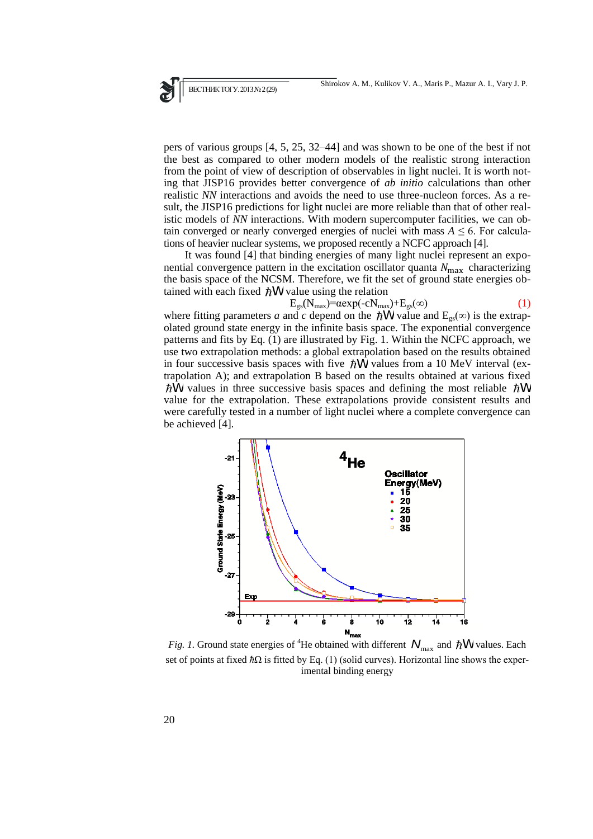pers of various groups [4, 5, 25, 32–44] and was shown to be one of the best if not the best as compared to other modern models of the realistic strong interaction from the point of view of description of observables in light nuclei. It is worth noting that JISP16 provides better convergence of *ab initio* calculations than other realistic *NN* interactions and avoids the need to use three-nucleon forces. As a result, the JISP16 predictions for light nuclei are more reliable than that of other realistic models of *NN* interactions. With modern supercomputer facilities, we can obtain converged or nearly converged energies of nuclei with mass  $A \leq 6$ . For calculations of heavier nuclear systems, we proposed recently a NCFC approach [4].

It was found [4] that binding energies of many light nuclei represent an exponential convergence pattern in the excitation oscillator quanta  $N_{\text{max}}$  characterizing the basis space of the NCSM. Therefore, we fit the set of ground state energies obtained with each fixed  $\hbar$ W value using the relation

$$
E_{gs}(N_{max}) = \alpha exp(-cN_{max}) + E_{gs}(\infty)
$$
 (1)

where fitting parameters *a* and *c* depend on the  $\hbar$ W value and  $E_{gs}(\infty)$  is the extrapolated ground state energy in the infinite basis space. The exponential convergence patterns and fits by Eq. (1) are illustrated by Fig. 1. Within the NCFC approach, we use two extrapolation methods: a global extrapolation based on the results obtained in four successive basis spaces with five  $\hbar \hat{W}$  values from a 10 MeV interval (extrapolation A); and extrapolation B based on the results obtained at various fixed  $\hat{W}$  values in three successive basis spaces and defining the most reliable  $\hbar W$ value for the extrapolation. These extrapolations provide consistent results and were carefully tested in a number of light nuclei where a complete convergence can be achieved [4].



*Fig. 1.* Ground state energies of <sup>4</sup>He obtained with different  $N_{\text{max}}$  and  $\hbar$ W values. Each set of points at fixed *ħ*Ω is fitted by Eq. (1) (solid curves). Horizontal line shows the experimental binding energy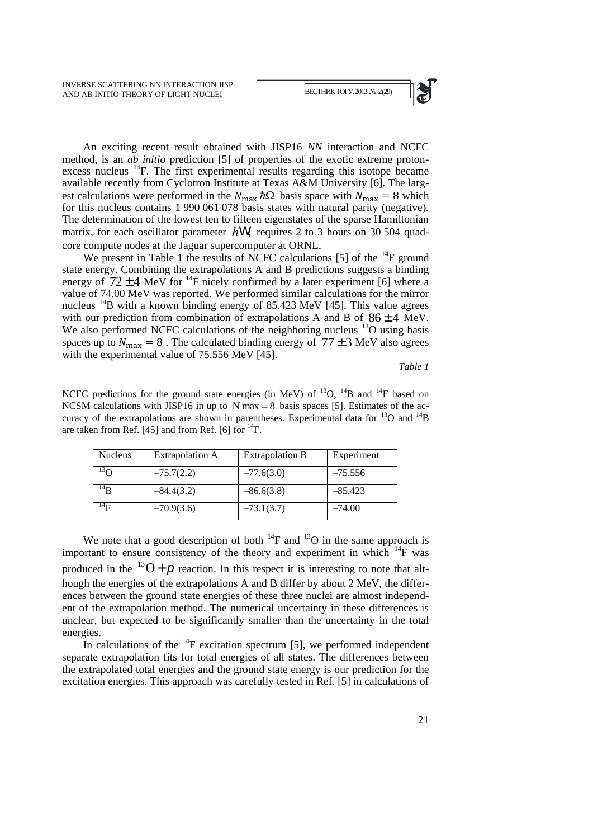

An exciting recent result obtained with JISP16 *NN* interaction and NCFC method, is an *ab initio* prediction [5] of properties of the exotic extreme protonexcess nucleus <sup>14</sup>F. The first experimental results regarding this isotope became available recently from Cyclotron Institute at Texas A&M University [6]. The largest calculations were performed in the  $N_{\text{max}}\hbar\Omega$  basis space with  $N_{\text{max}} = 8$  which for this nucleus contains 1 990 061 078 basis states with natural parity (negative). The determination of the lowest ten to fifteen eigenstates of the sparse Hamiltonian matrix, for each oscillator parameter  $\hbar$ W, requires 2 to 3 hours on 30 504 quadcore compute nodes at the Jaguar supercomputer at ORNL.

We present in Table 1 the results of NCFC calculations [5] of the  $^{14}$ F ground state energy. Combining the extrapolations A and B predictions suggests a binding energy of  $72 \pm 4$  MeV for <sup>14</sup>F nicely confirmed by a later experiment [6] where a value of 74.00 MeV was reported. We performed similar calculations for the mirror nucleus <sup>14</sup>B with a known binding energy of 85.423 MeV [45]. This value agrees with our prediction from combination of extrapolations A and B of  $86 \pm 4$  MeV. We also performed NCFC calculations of the neighboring nucleus  $^{13}$ O using basis spaces up to  $N_{\text{max}} = 8$ . The calculated binding energy of  $77 \pm 3$  MeV also agrees with the experimental value of 75.556 MeV [45].

*Table 1*

NCFC predictions for the ground state energies (in MeV) of  $^{13}O$ ,  $^{14}B$  and  $^{14}F$  based on NCSM calculations with JISP16 in up to  $N$  max = 8 basis spaces [5]. Estimates of the accuracy of the extrapolations are shown in parentheses. Experimental data for  $^{13}O$  and  $^{14}B$ are taken from Ref. [45] and from Ref. [6] for  $^{14}$ F.

| <b>Nucleus</b> | Extrapolation A | Extrapolation B | Experiment |
|----------------|-----------------|-----------------|------------|
| $\mathfrak{g}$ | $-75.7(2.2)$    | $-77.6(3.0)$    | $-75.556$  |
| $^{14}R$       | $-84.4(3.2)$    | $-86.6(3.8)$    | $-85.423$  |
| $^{14}$ E      | $-70.9(3.6)$    | $-73.1(3.7)$    | $-74.00$   |

We note that a good description of both  $^{14}$ F and  $^{13}$ O in the same approach is important to ensure consistency of the theory and experiment in which  $^{14}$ F was produced in the  $^{13}O + \rho$  reaction. In this respect it is interesting to note that although the energies of the extrapolations A and B differ by about 2 MeV, the differences between the ground state energies of these three nuclei are almost independent of the extrapolation method. The numerical uncertainty in these differences is unclear, but expected to be significantly smaller than the uncertainty in the total energies.

In calculations of the  $^{14}$ F excitation spectrum [5], we performed independent separate extrapolation fits for total energies of all states. The differences between the extrapolated total energies and the ground state energy is our prediction for the excitation energies. This approach was carefully tested in Ref. [5] in calculations of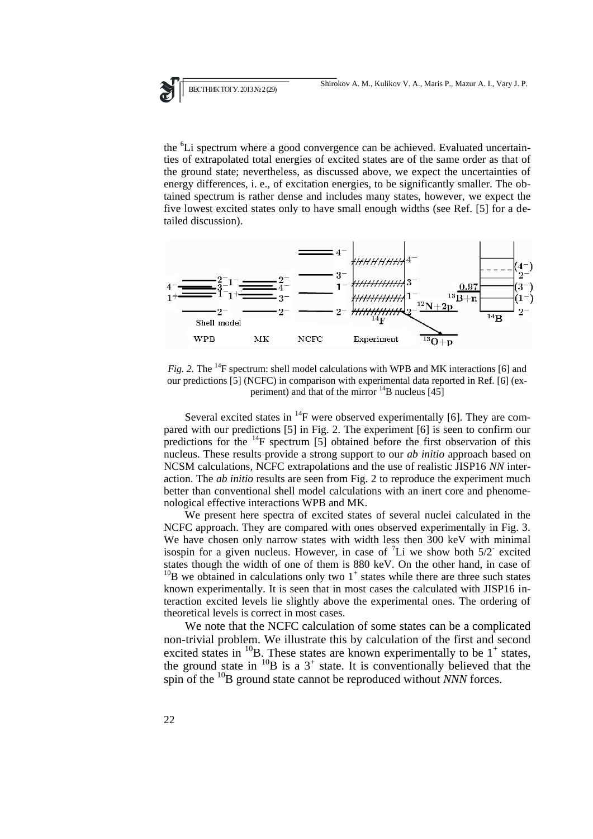the <sup>6</sup>Li spectrum where a good convergence can be achieved. Evaluated uncertainties of extrapolated total energies of excited states are of the same order as that of the ground state; nevertheless, as discussed above, we expect the uncertainties of energy differences, i. e., of excitation energies, to be significantly smaller. The obtained spectrum is rather dense and includes many states, however, we expect the five lowest excited states only to have small enough widths (see Ref. [5] for a detailed discussion).



*Fig. 2.* The <sup>14</sup>F spectrum: shell model calculations with WPB and MK interactions [6] and our predictions [5] (NCFC) in comparison with experimental data reported in Ref. [6] (experiment) and that of the mirror  $^{14}$ B nucleus [45]

Several excited states in  ${}^{14}F$  were observed experimentally [6]. They are compared with our predictions [5] in Fig. 2. The experiment [6] is seen to confirm our predictions for the  $^{14}$ F spectrum [5] obtained before the first observation of this nucleus. These results provide a strong support to our *ab initio* approach based on NCSM calculations, NCFC extrapolations and the use of realistic JISP16 *NN* interaction. The *ab initio* results are seen from Fig. 2 to reproduce the experiment much better than conventional shell model calculations with an inert core and phenomenological effective interactions WPB and MK.

We present here spectra of excited states of several nuclei calculated in the NCFC approach. They are compared with ones observed experimentally in Fig. 3. We have chosen only narrow states with width less then 300 keV with minimal isospin for a given nucleus. However, in case of  ${}^{7}$ Li we show both 5/2<sup>-</sup> excited states though the width of one of them is 880 keV. On the other hand, in case of  $^{10}$ B we obtained in calculations only two 1<sup>+</sup> states while there are three such states known experimentally. It is seen that in most cases the calculated with JISP16 interaction excited levels lie slightly above the experimental ones. The ordering of theoretical levels is correct in most cases.

We note that the NCFC calculation of some states can be a complicated non-trivial problem. We illustrate this by calculation of the first and second excited states in  $^{10}$ B. These states are known experimentally to be 1<sup>+</sup> states, the ground state in  $^{10}B$  is a 3<sup>+</sup> state. It is conventionally believed that the spin of the <sup>10</sup>B ground state cannot be reproduced without *NNN* forces.

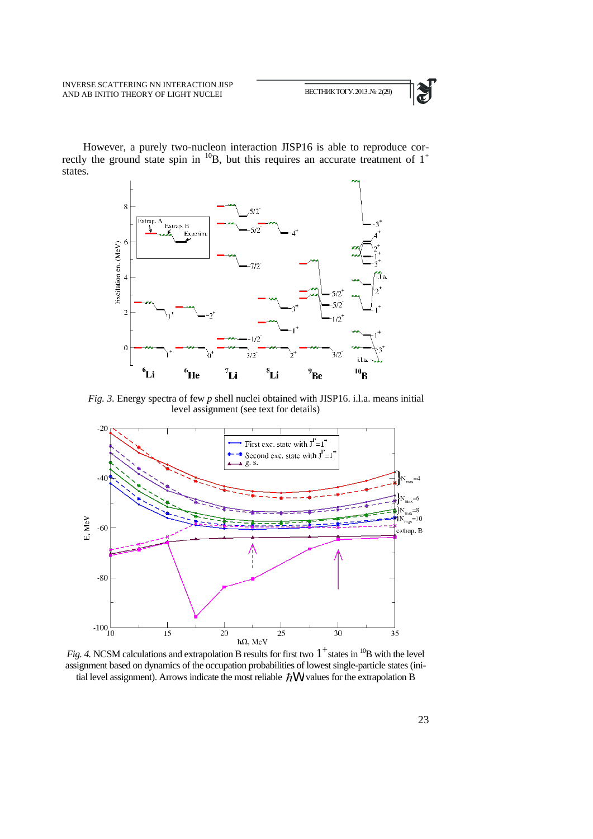

However, a purely two-nucleon interaction JISP16 is able to reproduce correctly the ground state spin in  $^{10}B$ , but this requires an accurate treatment of  $1^+$ states.



*Fig. 3.* Energy spectra of few *p* shell nuclei obtained with JISP16. i.l.a. means initial level assignment (see text for details)



*Fig. 4.* NCSM calculations and extrapolation B results for first two  $1^+$  states in <sup>10</sup>B with the level assignment based on dynamics of the occupation probabilities of lowest single-particle states (initial level assignment). Arrows indicate the most reliable  $\hbar$ W values for the extrapolation B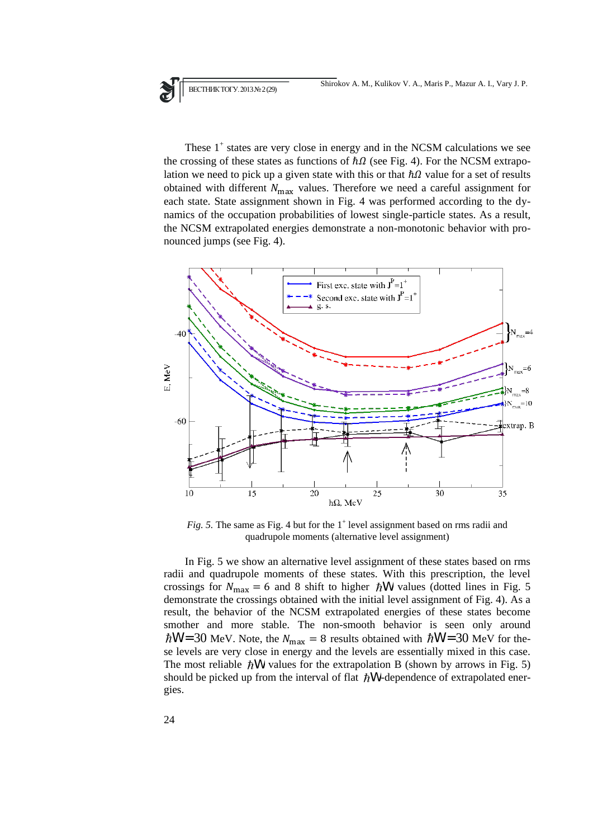These  $1^+$  states are very close in energy and in the NCSM calculations we see the crossing of these states as functions of  $\hbar\Omega$  (see Fig. 4). For the NCSM extrapolation we need to pick up a given state with this or that  $\hbar\Omega$  value for a set of results obtained with different  $N_{\text{max}}$  values. Therefore we need a careful assignment for each state. State assignment shown in Fig. 4 was performed according to the dynamics of the occupation probabilities of lowest single-particle states. As a result, the NCSM extrapolated energies demonstrate a non-monotonic behavior with pronounced jumps (see Fig. 4).



 $Fig. 5.$  The same as Fig. 4 but for the  $1^+$  level assignment based on rms radii and quadrupole moments (alternative level assignment)

In Fig. 5 we show an alternative level assignment of these states based on rms radii and quadrupole moments of these states. With this prescription, the level crossings for  $N_{\text{max}} = 6$  and 8 shift to higher  $\hbar$ W values (dotted lines in Fig. 5 demonstrate the crossings obtained with the initial level assignment of Fig. 4). As a result, the behavior of the NCSM extrapolated energies of these states become smother and more stable. The non-smooth behavior is seen only around  $W = 30$  MeV. Note, the  $N_{\text{max}} = 8$  results obtained with  $\hbar W = 30$  MeV for these levels are very close in energy and the levels are essentially mixed in this case. The most reliable  $\hbar$ W values for the extrapolation B (shown by arrows in Fig. 5) should be picked up from the interval of flat  $\hbar$ W-dependence of extrapolated energies.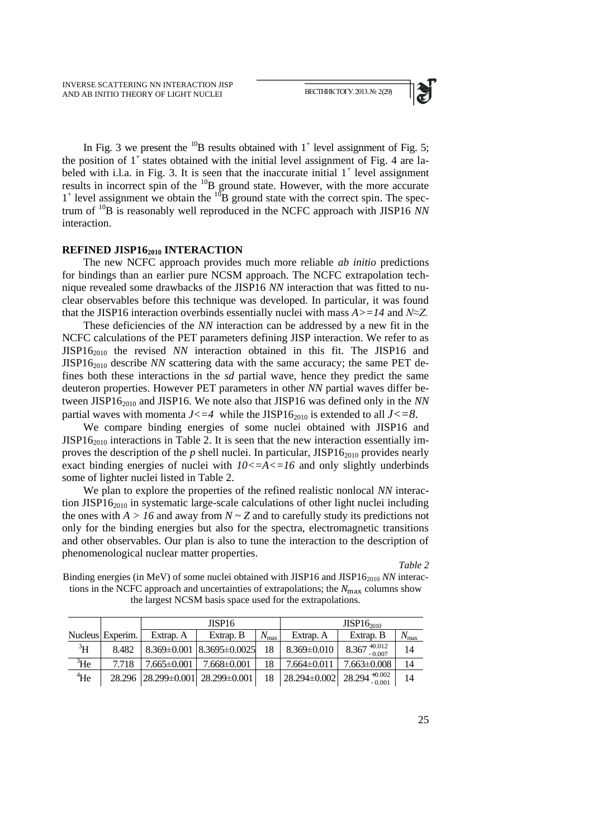

In Fig. 3 we present the  $^{10}B$  results obtained with  $1^+$  level assignment of Fig. 5; the position of  $1^+$  states obtained with the initial level assignment of Fig. 4 are labeled with i.l.a. in Fig. 3. It is seen that the inaccurate initial  $1^+$  level assignment results in incorrect spin of the <sup>10</sup>B ground state. However, with the more accurate  $1^+$  level assignment we obtain the  $10^{\circ}B$  ground state with the correct spin. The spectrum of <sup>10</sup>B is reasonably well reproduced in the NCFC approach with JISP16 *NN* interaction.

### **REFINED JISP16<sup>2010</sup> INTERACTION**

The new NCFC approach provides much more reliable *ab initio* predictions for bindings than an earlier pure NCSM approach. The NCFC extrapolation technique revealed some drawbacks of the JISP16 *NN* interaction that was fitted to nuclear observables before this technique was developed. In particular, it was found that the JISP16 interaction overbinds essentially nuclei with mass *A>=14* and *N≈Z.*

These deficiencies of the *NN* interaction can be addressed by a new fit in the NCFC calculations of the PET parameters defining JISP interaction. We refer to as JISP16<sup>2010</sup> the revised *NN* interaction obtained in this fit. The JISP16 and JISP16<sup>2010</sup> describe *NN* scattering data with the same accuracy; the same PET defines both these interactions in the *sd* partial wave, hence they predict the same deuteron properties. However PET parameters in other *NN* partial waves differ between JISP16<sup>2010</sup> and JISP16. We note also that JISP16 was defined only in the *NN* partial waves with momenta  $J \leq -4$  while the JISP16<sub>2010</sub> is extended to all  $J \leq -8$ .

We compare binding energies of some nuclei obtained with JISP16 and  $JISP16_{2010}$  interactions in Table 2. It is seen that the new interaction essentially improves the description of the  $p$  shell nuclei. In particular, JISP16<sub>2010</sub> provides nearly exact binding energies of nuclei with  $10 \leq A \leq 16$  and only slightly underbinds some of lighter nuclei listed in Table 2.

We plan to explore the properties of the refined realistic nonlocal *NN* interaction JISP1 $6_{2010}$  in systematic large-scale calculations of other light nuclei including the ones with  $A > 16$  and away from  $N \sim Z$  and to carefully study its predictions not only for the binding energies but also for the spectra, electromagnetic transitions and other observables. Our plan is also to tune the interaction to the description of phenomenological nuclear matter properties.

*Table 2* 

Binding energies (in MeV) of some nuclei obtained with JISP16 and JISP16<sup>2010</sup> *NN* interactions in the NCFC approach and uncertainties of extrapolations; the  $N_{\text{max}}$  columns show the largest NCSM basis space used for the extrapolations.

|             |                  | JISP <sub>16</sub> |                                   |               | $JISP16_{2010}$   |                            |               |
|-------------|------------------|--------------------|-----------------------------------|---------------|-------------------|----------------------------|---------------|
|             | Nucleus Experim. | Extrap. A          | Extrap. B                         | $N_{\rm max}$ | Extrap. A         | Extrap. B                  | $N_{\rm max}$ |
| ${}^{3}H$   | 8.482            |                    | $8.369\pm0.001$ $8.3695\pm0.0025$ | 18            | $8.369 \pm 0.010$ | $8.367_{-0.007}^{+0.012}$  | 14            |
| ${}^{3}$ He | 7.718            | $7.665 \pm 0.001$  | $7.668 \pm 0.001$                 | 18            | $7.664\pm0.011$   | $7.663\pm0.008$            | 14            |
| $4$ He      |                  |                    | 28.296 28.299±0.001 28.299±0.001  | 18            | 28.294±0.002      | $28.294_{-0.001}^{+0.002}$ | 14            |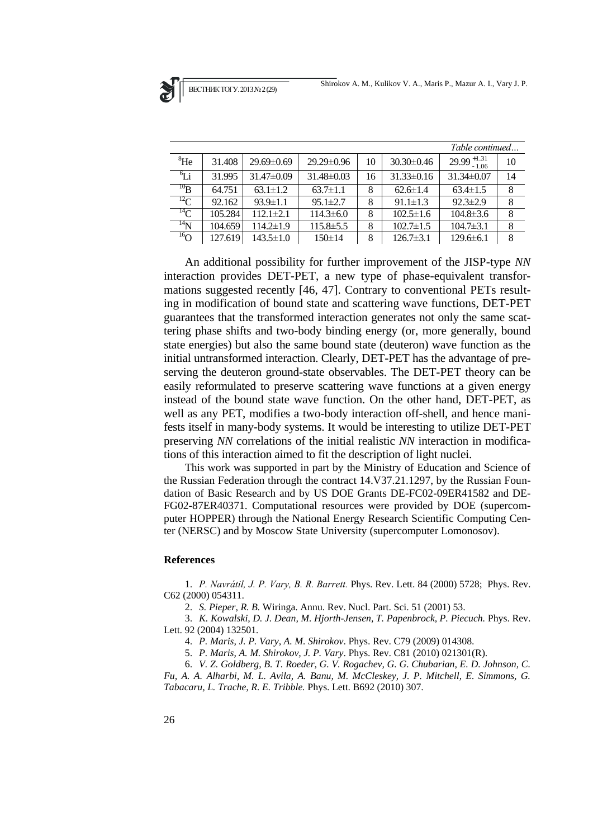|                            |         |                 |                  | Table continued |                  |                         |    |
|----------------------------|---------|-----------------|------------------|-----------------|------------------|-------------------------|----|
| ${}^{8}$ He                | 31.408  | $29.69\pm0.69$  | $29.29 \pm 0.96$ | 10              | $30.30 \pm 0.46$ | $29.99_{-1.06}^{+1.31}$ | 10 |
| $\mathfrak{g}_{\text{Li}}$ | 31.995  | $31.47\pm0.09$  | $31.48\pm0.03$   | 16              | $31.33\pm0.16$   | $31.34\pm0.07$          | 14 |
| $^{10}B$                   | 64.751  | $63.1 \pm 1.2$  | $63.7 \pm 1.1$   | 8               | $62.6 \pm 1.4$   | $63.4 \pm 1.5$          | 8  |
| ${}^{12}C$                 | 92.162  | $93.9 \pm 1.1$  | $95.1 \pm 2.7$   | 8               | $91.1 \pm 1.3$   | $92.3 \pm 2.9$          | 8  |
| $^{14}$ C                  | 105.284 | $112.1 \pm 2.1$ | $114.3 \pm 6.0$  | 8               | $102.5 \pm 1.6$  | $104.8 \pm 3.6$         | 8  |
| $^{14}$ N                  | 104.659 | $114.2 \pm 1.9$ | $115.8 \pm 5.5$  | 8               | $102.7 \pm 1.5$  | $104.7 \pm 3.1$         | 8  |
| $^{16}$ O                  | 127.619 | $143.5 \pm 1.0$ | $150 \pm 14$     | 8               | $126.7 \pm 3.1$  | $129.6 \pm 6.1$         | 8  |

An additional possibility for further improvement of the JISP-type *NN* interaction provides DET-PET, a new type of phase-equivalent transformations suggested recently [46, 47]. Contrary to conventional PETs resulting in modification of bound state and scattering wave functions, DET-PET guarantees that the transformed interaction generates not only the same scattering phase shifts and two-body binding energy (or, more generally, bound state energies) but also the same bound state (deuteron) wave function as the initial untransformed interaction. Clearly, DET-PET has the advantage of preserving the deuteron ground-state observables. The DET-PET theory can be easily reformulated to preserve scattering wave functions at a given energy instead of the bound state wave function. On the other hand, DET-PET, as well as any PET, modifies a two-body interaction off-shell, and hence manifests itself in many-body systems. It would be interesting to utilize DET-PET preserving *NN* correlations of the initial realistic *NN* interaction in modifications of this interaction aimed to fit the description of light nuclei.

This work was supported in part by the Ministry of Education and Science of the Russian Federation through the contract 14.V37.21.1297, by the Russian Foundation of Basic Research and by US DOE Grants DE-FC02-09ER41582 and DE-FG02-87ER40371. Computational resources were provided by DOE (supercomputer HOPPER) through the National Energy Research Scientific Computing Center (NERSC) and by Moscow State University (supercomputer Lomonosov).

#### **References**

1. *P. Navrátil, J. P. Vary, B. R. Barrett.* Phys. Rev. Lett. 84 (2000) 5728; Phys. Rev. C62 (2000) 054311.

2. *S. Pieper, R. B.* Wiringa. Annu. Rev. Nucl. Part. Sci. 51 (2001) 53.

3. *K. Kowalski, D. J. Dean, M. Hjorth-Jensen, T. Papenbrock, P. Piecuch.* Phys. Rev. Lett. 92 (2004) 132501*.* 

4. *P. Maris, J. P. Vary, A. M. Shirokov*. Phys. Rev. C79 (2009) 014308.

5. *P. Maris, A. M. Shirokov, J. P. Vary*. Phys. Rev. C81 (2010) 021301(R).

6. *V. Z. Goldberg, B. T. Roeder, G. V. Rogachev, G. G. Chubarian, E. D. Johnson, C. Fu, A. A. Alharbi, M. L. Avila, A. Banu, M. McCleskey, J. P. Mitchell, E. Simmons, G. Tabacaru, L. Trache, R. E. Tribble.* Phys. Lett. B692 (2010) 307.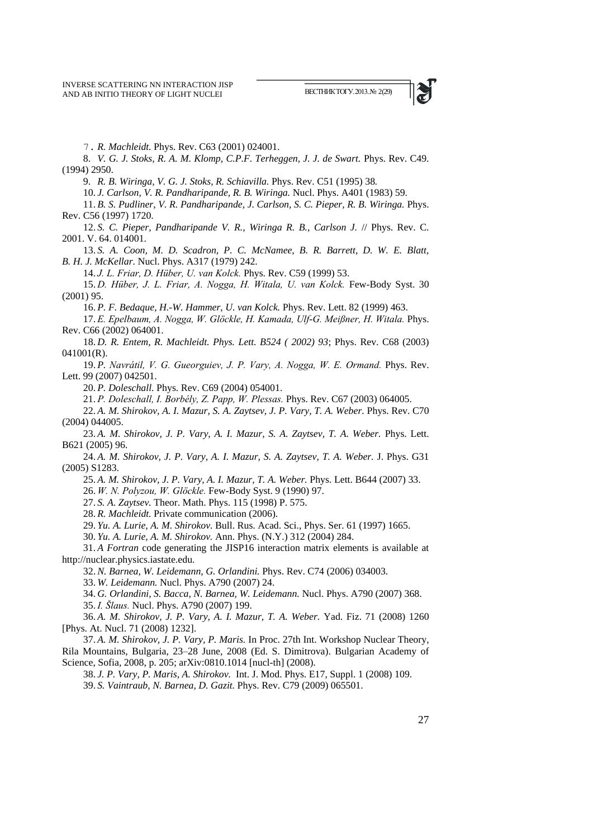

7. *R. Machleidt.* Phys. Rev. C63 (2001) 024001.

8. *V. G. J. Stoks, R. A. M. Klomp, C.P.F. Terheggen, J. J. de Swart.* Phys. Rev. C49. (1994) 2950.

9. *R. B. Wiringa, V. G. J. Stoks, R. Schiavilla.* Phys. Rev. C51 (1995) 38*.*

10. *J. Carlson, V. R. Pandharipande, R. B. Wiringa.* Nucl. Phys. A401 (1983) 59.

11. *B. S. Pudliner, V. R. Pandharipande, J. Carlson, S. C. Pieper, R. B. Wiringa.* Phys. Rev. C56 (1997) 1720.

12. *S. C. Pieper, Pandharipande V. R., Wiringa R. B., Carlson J.* // Phys. Rev. C. 2001. V. 64. 014001.

13. *S. A. Coon, M. D. Scadron, P. C. McNamee, B. R. Barrett, D. W. E. Blatt, B. H. J. McKellar.* Nucl. Phys. A317 (1979) 242.

14. *J. L. Friar, D. Hüber, U. van Kolck.* Phys. Rev. C59 (1999) 53.

15. *D. Hüber, J. L. Friar, A. Nogga, H. Witala, U. van Kolck.* Few-Body Syst. 30 (2001) 95.

16. *P. F. Bedaque, H.-W. Hammer, U. van Kolck.* Phys. Rev. Lett. 82 (1999) 463.

17. *E. Epelbaum, A. Nogga, W. Glöckle, H. Kamada, Ulf-G. Meißner, H. Witala.* Phys. Rev. C66 (2002) 064001.

18. *D. R. Entem, R. Machleidt. Phys. Lett. B524 ( 2002) 93*; Phys. Rev. C68 (2003) 041001(R).

19. *P. Navrátil, V. G. Gueorguiev, J. P. Vary, A. Nogga, W. E. Ormand.* Phys. Rev. Lett. 99 (2007) 042501.

20. *P. Doleschall.* Phys. Rev. C69 (2004) 054001.

21. *P. Doleschall, I. Borbély, Z. Papp, W. Plessas.* Phys. Rev. C67 (2003) 064005.

22. *A. M. Shirokov, A. I. Mazur, S. A. Zaytsev, J. P. Vary, T. A. Weber.* Phys. Rev. C70 (2004) 044005.

23. *A. M. Shirokov, J. P. Vary, A. I. Mazur, S. A. Zaytsev, T. A. Weber.* Phys. Lett. B621 (2005) 96.

24. *A. M. Shirokov, J. P. Vary, A. I. Mazur, S. A. Zaytsev, T. A. Weber.* J. Phys. G31 (2005) S1283.

25. *A. M. Shirokov, J. P. Vary, A. I. Mazur, T. A. Weber.* Phys. Lett. B644 (2007) 33.

26. *W. N. Polyzou, W. Glöckle.* Few-Body Syst. 9 (1990) 97.

27. *S. A. Zaytsev.* Theor. Math. Phys. 115 (1998) P. 575.

28. *R. Machleidt.* Private communication (2006).

29. *Yu. A. Lurie, A. M. Shirokov.* Bull. Rus. Acad. Sci., Phys. Ser. 61 (1997) 1665.

30. *Yu. A. Lurie, A. M. Shirokov.* Ann. Phys. (N.Y.) 312 (2004) 284.

31. *A Fortran* code generating the JISP16 interaction matrix elements is available at [http://nuclear.physics.iastate.edu.](http://nuclear.physics.iastate.edu/)

32. *N. Barnea, W. Leidemann, G. Orlandini.* Phys. Rev. C74 (2006) 034003.

33. *W. Leidemann.* Nucl. Phys. A790 (2007) 24.

34. *G. Orlandini, S. Bacca, N. Barnea, W. Leidemann.* Nucl. Phys. A790 (2007) 368.

35. *I. Šlaus.* Nucl. Phys. A790 (2007) 199.

36. *A. M. Shirokov, J. P. Vary, A. I. Mazur, T. A. Weber.* Yad. Fiz. 71 (2008) 1260 [Phys. At. Nucl. 71 (2008) 1232].

37. *A. M. Shirokov, J. P. Vary, P. Maris.* In Proc. 27th Int. Workshop Nuclear Theory, Rila Mountains, Bulgaria, 23–28 June, 2008 (Ed. S. Dimitrova). Bulgarian Academy of Science, Sofia, 2008, p. 205; arXiv:0810.1014 [nucl-th] (2008).

38. *J. P. Vary, P. Maris, A. Shirokov.* Int. J. Mod. Phys. E17, Suppl. 1 (2008) 109. 39. *S. Vaintraub, N. Barnea, D. Gazit.* Phys. Rev. C79 (2009) 065501.